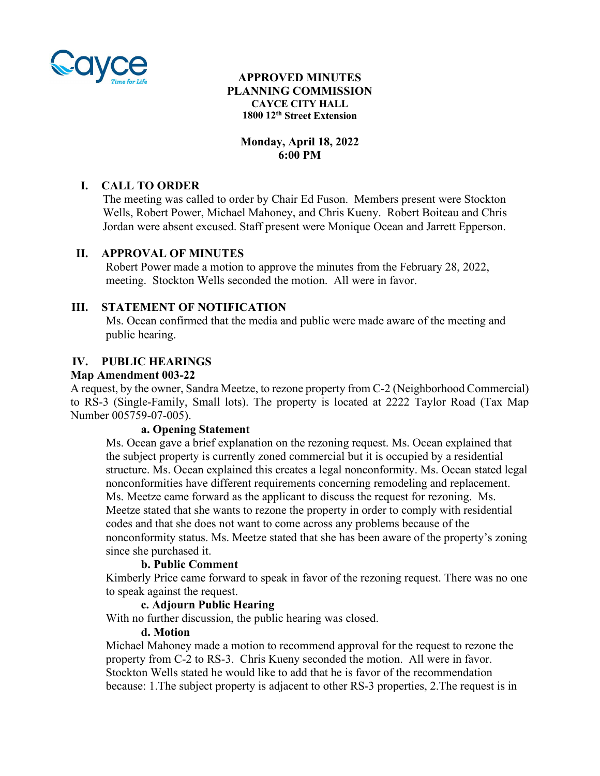

## **APPROVED MINUTES PLANNING COMMISSION CAYCE CITY HALL 1800 12th Street Extension**

# **Monday, April 18, 2022 6:00 PM**

# **I. CALL TO ORDER**

 The meeting was called to order by Chair Ed Fuson. Members present were Stockton Wells, Robert Power, Michael Mahoney, and Chris Kueny. Robert Boiteau and Chris Jordan were absent excused. Staff present were Monique Ocean and Jarrett Epperson.

## **II. APPROVAL OF MINUTES**

Robert Power made a motion to approve the minutes from the February 28, 2022, meeting. Stockton Wells seconded the motion. All were in favor.

## **III. STATEMENT OF NOTIFICATION**

Ms. Ocean confirmed that the media and public were made aware of the meeting and public hearing.

### **IV. PUBLIC HEARINGS**

### **Map Amendment 003-22**

A request, by the owner, Sandra Meetze, to rezone property from C-2 (Neighborhood Commercial) to RS-3 (Single-Family, Small lots). The property is located at 2222 Taylor Road (Tax Map Number 005759-07-005).

### **a. Opening Statement**

Ms. Ocean gave a brief explanation on the rezoning request. Ms. Ocean explained that the subject property is currently zoned commercial but it is occupied by a residential structure. Ms. Ocean explained this creates a legal nonconformity. Ms. Ocean stated legal nonconformities have different requirements concerning remodeling and replacement. Ms. Meetze came forward as the applicant to discuss the request for rezoning. Ms. Meetze stated that she wants to rezone the property in order to comply with residential codes and that she does not want to come across any problems because of the nonconformity status. Ms. Meetze stated that she has been aware of the property's zoning since she purchased it.

### **b. Public Comment**

Kimberly Price came forward to speak in favor of the rezoning request. There was no one to speak against the request.

### **c. Adjourn Public Hearing**

With no further discussion, the public hearing was closed.

#### **d. Motion**

Michael Mahoney made a motion to recommend approval for the request to rezone the property from C-2 to RS-3. Chris Kueny seconded the motion. All were in favor. Stockton Wells stated he would like to add that he is favor of the recommendation because: 1.The subject property is adjacent to other RS-3 properties, 2.The request is in